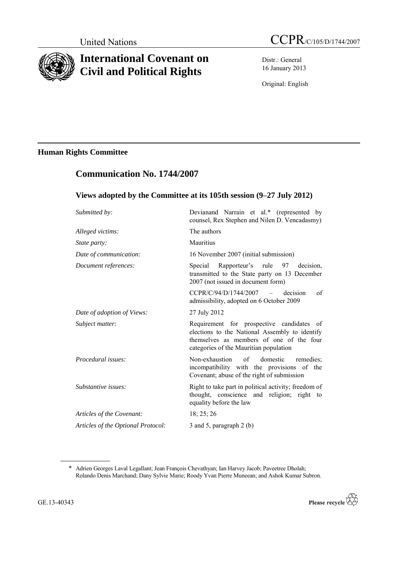

# **International Covenant on Civil and Political Rights**

**Communication No. 1744/2007**

Distr.: General 16 January 2013

Original: English

# **Human Rights Committee**

| Views adopted by the Committee at its 105th session (9–27 July 2012) |                                                                                                                                                                                   |
|----------------------------------------------------------------------|-----------------------------------------------------------------------------------------------------------------------------------------------------------------------------------|
| Submitted by:                                                        | Devianand Narrain et al.* (represented by<br>counsel, Rex Stephen and Nilen D. Vencadasmy)                                                                                        |
| Alleged victims:                                                     | The authors                                                                                                                                                                       |
| State party:                                                         | Mauritius                                                                                                                                                                         |
| Date of communication:                                               | 16 November 2007 (initial submission)                                                                                                                                             |
| Document references:                                                 | Rapporteur's rule 97 decision,<br>Special<br>transmitted to the State party on 13 December<br>2007 (not issued in document form)                                                  |
|                                                                      | CCPR/C/94/D/1744/2007<br>decision<br>of<br>$\sim$ 100 $\sim$<br>admissibility, adopted on 6 October 2009                                                                          |
| Date of adoption of Views:                                           | 27 July 2012                                                                                                                                                                      |
| Subject matter:                                                      | Requirement for prospective candidates of<br>elections to the National Assembly to identify<br>themselves as members of one of the four<br>categories of the Mauritian population |
| Procedural issues:                                                   | Non-exhaustion<br>$\sigma$ f<br>domestic<br>remedies:<br>incompatibility with the provisions of the<br>Covenant; abuse of the right of submission                                 |
| Substantive issues:                                                  | Right to take part in political activity; freedom of<br>thought, conscience and religion; right to<br>equality before the law                                                     |
| Articles of the Covenant:                                            | 18; 25; 26                                                                                                                                                                        |
| Articles of the Optional Protocol:                                   | 3 and 5, paragraph 2 (b)                                                                                                                                                          |

<sup>\*</sup> Adrien Georges Laval Legallant; Jean François Chevathyan; Ian Harvey Jacob; Paveetree Dholah; Rolando Denis Marchand; Dany Sylvie Marie; Roody Yvan Pierre Muneean; and Ashok Kumar Subron.



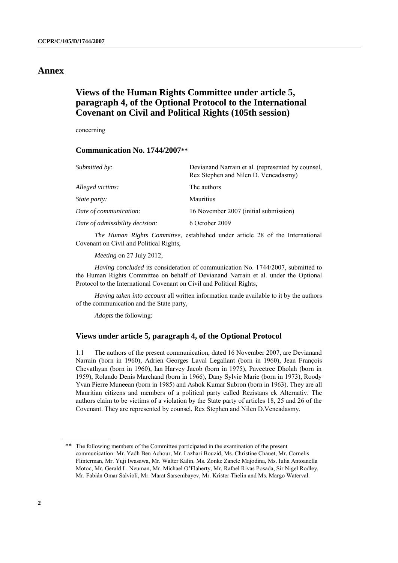### **Annex**

# **Views of the Human Rights Committee under article 5, paragraph 4, of the Optional Protocol to the International Covenant on Civil and Political Rights (105th session)**

concerning

### **Communication No. 1744/2007\*\***

| Submitted by:                   | Devianand Narrain et al. (represented by counsel,<br>Rex Stephen and Nilen D. Vencadasmy) |
|---------------------------------|-------------------------------------------------------------------------------------------|
| Alleged victims:                | The authors                                                                               |
| <i>State party:</i>             | <b>Mauritius</b>                                                                          |
| Date of communication:          | 16 November 2007 (initial submission)                                                     |
| Date of admissibility decision: | 6 October 2009                                                                            |
|                                 |                                                                                           |

*The Human Rights Committee*, established under article 28 of the International Covenant on Civil and Political Rights,

*Meeting* on 27 July 2012,

*Having concluded* its consideration of communication No. 1744/2007, submitted to the Human Rights Committee on behalf of Devianand Narrain et al. under the Optional Protocol to the International Covenant on Civil and Political Rights,

*Having taken into account* all written information made available to it by the authors of the communication and the State party,

*Adopts* the following:

### **Views under article 5, paragraph 4, of the Optional Protocol**

1.1 The authors of the present communication, dated 16 November 2007, are Devianand Narrain (born in 1960), Adrien Georges Laval Legallant (born in 1960), Jean François Chevathyan (born in 1960), Ian Harvey Jacob (born in 1975), Paveetree Dholah (born in 1959), Rolando Denis Marchand (born in 1966), Dany Sylvie Marie (born in 1973), Roody Yvan Pierre Muneean (born in 1985) and Ashok Kumar Subron (born in 1963). They are all Mauritian citizens and members of a political party called Rezistans ek Alternativ. The authors claim to be victims of a violation by the State party of articles 18, 25 and 26 of the Covenant. They are represented by counsel, Rex Stephen and Nilen D.Vencadasmy.

<sup>\*\*</sup> The following members of the Committee participated in the examination of the present communication: Mr. Yadh Ben Achour, Mr. Lazhari Bouzid, Ms. Christine Chanet, Mr. Cornelis Flinterman, Mr. Yuji Iwasawa, Mr. Walter Kälin, Ms. Zonke Zanele Majodina, Ms. Iulia Antoanella Motoc, Mr. Gerald L. Neuman, Mr. Michael O'Flaherty, Mr. Rafael Rivas Posada, Sir Nigel Rodley, Mr. Fabián Omar Salvioli, Mr. Marat Sarsembayev, Mr. Krister Thelin and Ms. Margo Waterval.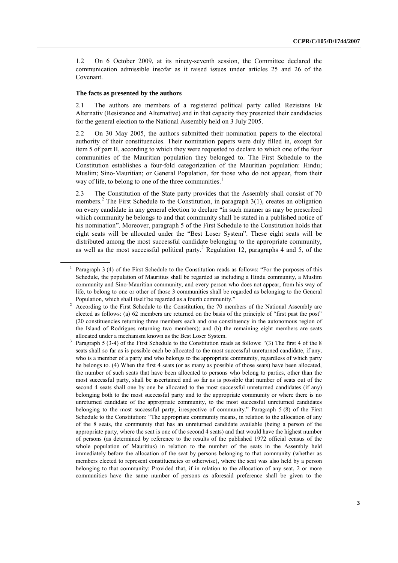1.2 On 6 October 2009, at its ninety-seventh session, the Committee declared the communication admissible insofar as it raised issues under articles 25 and 26 of the Covenant.

#### **The facts as presented by the authors**

2.1 The authors are members of a registered political party called Rezistans Ek Alternativ (Resistance and Alternative) and in that capacity they presented their candidacies for the general election to the National Assembly held on 3 July 2005.

2.2 On 30 May 2005, the authors submitted their nomination papers to the electoral authority of their constituencies. Their nomination papers were duly filled in, except for item 5 of part II, according to which they were requested to declare to which one of the four communities of the Mauritian population they belonged to. The First Schedule to the Constitution establishes a four-fold categorization of the Mauritian population: Hindu; Muslim; Sino-Mauritian; or General Population, for those who do not appear, from their way of life, to belong to one of the three communities.<sup>1</sup>

<span id="page-2-0"></span>2.3 The Constitution of the State party provides that the Assembly shall consist of 70 members.<sup>2</sup> The First Schedule to the Constitution, in paragraph 3(1), creates an obligation on every candidate in any general election to declare "in such manner as may be prescribed which community he belongs to and that community shall be stated in a published notice of his nomination". Moreover, paragraph 5 of the First Schedule to the Constitution holds that eight seats will be allocated under the "Best Loser System". These eight seats will be distributed among the most successful candidate belonging to the appropriate community, as well as the most successful political party.<sup>3</sup> Regulation 12, paragraphs 4 and 5, of the

<sup>1</sup> Paragraph 3 (4) of the First Schedule to the Constitution reads as follows: "For the purposes of this Schedule, the population of Mauritius shall be regarded as including a Hindu community, a Muslim community and Sino-Mauritian community; and every person who does not appear, from his way of life, to belong to one or other of those 3 communities shall be regarded as belonging to the General Population, which shall itself be regarded as a fourth community."

<sup>&</sup>lt;sup>2</sup> According to the First Schedule to the Constitution, the 70 members of the National Assembly are elected as follows: (a) 62 members are returned on the basis of the principle of "first past the post" (20 constituencies returning three members each and one constituency in the autonomous region of the Island of Rodrigues returning two members); and (b) the remaining eight members are seats allocated under a mechanism known as the Best Loser System.

<sup>3</sup> Paragraph 5 (3-4) of the First Schedule to the Constitution reads as follows: "(3) The first 4 of the 8 seats shall so far as is possible each be allocated to the most successful unreturned candidate, if any, who is a member of a party and who belongs to the appropriate community, regardless of which party he belongs to. (4) When the first 4 seats (or as many as possible of those seats) have been allocated, the number of such seats that have been allocated to persons who belong to parties, other than the most successful party, shall be ascertained and so far as is possible that number of seats out of the second 4 seats shall one by one be allocated to the most successful unreturned candidates (if any) belonging both to the most successful party and to the appropriate community or where there is no unreturned candidate of the appropriate community, to the most successful unreturned candidates belonging to the most successful party, irrespective of community." Paragraph 5 (8) of the First Schedule to the Constitution: "The appropriate community means, in relation to the allocation of any of the 8 seats, the community that has an unreturned candidate available (being a person of the appropriate party, where the seat is one of the second 4 seats) and that would have the highest number of persons (as determined by reference to the results of the published 1972 official census of the whole population of Mauritius) in relation to the number of the seats in the Assembly held immediately before the allocation of the seat by persons belonging to that community (whether as members elected to represent constituencies or otherwise), where the seat was also held by a person belonging to that community: Provided that, if in relation to the allocation of any seat, 2 or more communities have the same number of persons as aforesaid preference shall be given to the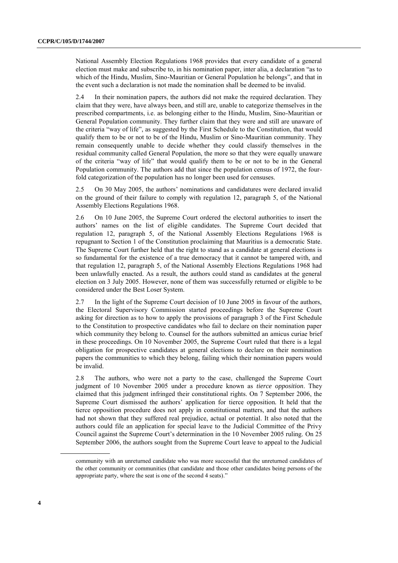National Assembly Election Regulations 1968 provides that every candidate of a general election must make and subscribe to, in his nomination paper, inter alia, a declaration "as to which of the Hindu, Muslim, Sino-Mauritian or General Population he belongs", and that in the event such a declaration is not made the nomination shall be deemed to be invalid.

2.4 In their nomination papers, the authors did not make the required declaration. They claim that they were, have always been, and still are, unable to categorize themselves in the prescribed compartments, i.e. as belonging either to the Hindu, Muslim, Sino-Mauritian or General Population community. They further claim that they were and still are unaware of the criteria "way of life", as suggested by the First Schedule to the Constitution, that would qualify them to be or not to be of the Hindu, Muslim or Sino-Mauritian community. They remain consequently unable to decide whether they could classify themselves in the residual community called General Population, the more so that they were equally unaware of the criteria "way of life" that would qualify them to be or not to be in the General Population community. The authors add that since the population census of 1972, the fourfold categorization of the population has no longer been used for censuses.

2.5 On 30 May 2005, the authors' nominations and candidatures were declared invalid on the ground of their failure to comply with regulation 12, paragraph 5, of the National Assembly Elections Regulations 1968.

2.6 On 10 June 2005, the Supreme Court ordered the electoral authorities to insert the authors' names on the list of eligible candidates. The Supreme Court decided that regulation 12, paragraph 5, of the National Assembly Elections Regulations 1968 is repugnant to Section 1 of the Constitution proclaiming that Mauritius is a democratic State. The Supreme Court further held that the right to stand as a candidate at general elections is so fundamental for the existence of a true democracy that it cannot be tampered with, and that regulation 12, paragraph 5, of the National Assembly Elections Regulations 1968 had been unlawfully enacted. As a result, the authors could stand as candidates at the general election on 3 July 2005. However, none of them was successfully returned or eligible to be considered under the Best Loser System.

2.7 In the light of the Supreme Court decision of 10 June 2005 in favour of the authors, the Electoral Supervisory Commission started proceedings before the Supreme Court asking for direction as to how to apply the provisions of paragraph 3 of the First Schedule to the Constitution to prospective candidates who fail to declare on their nomination paper which community they belong to. Counsel for the authors submitted an amicus curiae brief in these proceedings. On 10 November 2005, the Supreme Court ruled that there is a legal obligation for prospective candidates at general elections to declare on their nomination papers the communities to which they belong, failing which their nomination papers would be invalid.

2.8 The authors, who were not a party to the case, challenged the Supreme Court judgment of 10 November 2005 under a procedure known as *tierce opposition*. They claimed that this judgment infringed their constitutional rights. On 7 September 2006, the Supreme Court dismissed the authors' application for tierce opposition*.* It held that the tierce opposition procedure does not apply in constitutional matters, and that the authors had not shown that they suffered real prejudice, actual or potential. It also noted that the authors could file an application for special leave to the Judicial Committee of the Privy Council against the Supreme Court's determination in the 10 November 2005 ruling. On 25 September 2006, the authors sought from the Supreme Court leave to appeal to the Judicial

community with an unreturned candidate who was more successful that the unreturned candidates of the other community or communities (that candidate and those other candidates being persons of the appropriate party, where the seat is one of the second 4 seats)."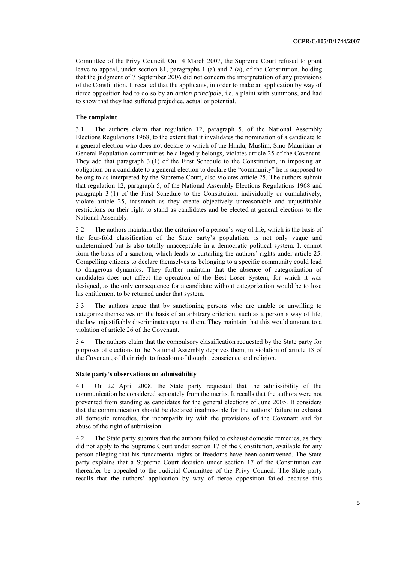Committee of the Privy Council. On 14 March 2007, the Supreme Court refused to grant leave to appeal, under section 81, paragraphs 1 (a) and 2 (a), of the Constitution, holding that the judgment of 7 September 2006 did not concern the interpretation of any provisions of the Constitution. It recalled that the applicants, in order to make an application by way of tierce opposition had to do so by an *action principale*, i.e. a plaint with summons, and had to show that they had suffered prejudice, actual or potential.

#### **The complaint**

3.1 The authors claim that regulation 12, paragraph 5, of the National Assembly Elections Regulations 1968, to the extent that it invalidates the nomination of a candidate to a general election who does not declare to which of the Hindu, Muslim, Sino-Mauritian or General Population communities he allegedly belongs, violates article 25 of the Covenant. They add that paragraph 3 (1) of the First Schedule to the Constitution, in imposing an obligation on a candidate to a general election to declare the "community" he is supposed to belong to as interpreted by the Supreme Court, also violates article 25. The authors submit that regulation 12, paragraph 5, of the National Assembly Elections Regulations 1968 and paragraph 3 (1) of the First Schedule to the Constitution, individually or cumulatively, violate article 25, inasmuch as they create objectively unreasonable and unjustifiable restrictions on their right to stand as candidates and be elected at general elections to the National Assembly.

3.2 The authors maintain that the criterion of a person's way of life, which is the basis of the four-fold classification of the State party's population, is not only vague and undetermined but is also totally unacceptable in a democratic political system. It cannot form the basis of a sanction, which leads to curtailing the authors' rights under article 25. Compelling citizens to declare themselves as belonging to a specific community could lead to dangerous dynamics. They further maintain that the absence of categorization of candidates does not affect the operation of the Best Loser System, for which it was designed, as the only consequence for a candidate without categorization would be to lose his entitlement to be returned under that system.

3.3 The authors argue that by sanctioning persons who are unable or unwilling to categorize themselves on the basis of an arbitrary criterion, such as a person's way of life, the law unjustifiably discriminates against them. They maintain that this would amount to a violation of article 26 of the Covenant.

3.4 The authors claim that the compulsory classification requested by the State party for purposes of elections to the National Assembly deprives them, in violation of article 18 of the Covenant, of their right to freedom of thought, conscience and religion.

#### **State party's observations on admissibility**

4.1 On 22 April 2008, the State party requested that the admissibility of the communication be considered separately from the merits. It recalls that the authors were not prevented from standing as candidates for the general elections of June 2005. It considers that the communication should be declared inadmissible for the authors' failure to exhaust all domestic remedies, for incompatibility with the provisions of the Covenant and for abuse of the right of submission.

4.2 The State party submits that the authors failed to exhaust domestic remedies, as they did not apply to the Supreme Court under section 17 of the Constitution, available for any person alleging that his fundamental rights or freedoms have been contravened. The State party explains that a Supreme Court decision under section 17 of the Constitution can thereafter be appealed to the Judicial Committee of the Privy Council. The State party recalls that the authors' application by way of tierce opposition failed because this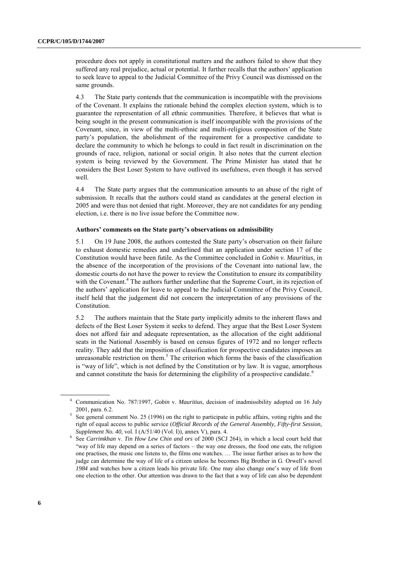procedure does not apply in constitutional matters and the authors failed to show that they suffered any real prejudice, actual or potential. It further recalls that the authors' application to seek leave to appeal to the Judicial Committee of the Privy Council was dismissed on the same grounds.

4.3 The State party contends that the communication is incompatible with the provisions of the Covenant. It explains the rationale behind the complex election system, which is to guarantee the representation of all ethnic communities. Therefore, it believes that what is being sought in the present communication is itself incompatible with the provisions of the Covenant, since, in view of the multi-ethnic and multi-religious composition of the State party's population, the abolishment of the requirement for a prospective candidate to declare the community to which he belongs to could in fact result in discrimination on the grounds of race, religion, national or social origin. It also notes that the current election system is being reviewed by the Government. The Prime Minister has stated that he considers the Best Loser System to have outlived its usefulness, even though it has served well.

4.4 The State party argues that the communication amounts to an abuse of the right of submission. It recalls that the authors could stand as candidates at the general election in 2005 and were thus not denied that right. Moreover, they are not candidates for any pending election, i.e. there is no live issue before the Committee now.

#### **Authors' comments on the State party's observations on admissibility**

5.1 On 19 June 2008, the authors contested the State party's observation on their failure to exhaust domestic remedies and underlined that an application under section 17 of the Constitution would have been futile. As the Committee concluded in *Gobin v. Mauritius*, in the absence of the incorporation of the provisions of the Covenant into national law, the domestic courts do not have the power to review the Constitution to ensure its compatibility with the Covenant.<sup>4</sup> The authors further underline that the Supreme Court, in its rejection of the authors' application for leave to appeal to the Judicial Committee of the Privy Council, itself held that the judgement did not concern the interpretation of any provisions of the Constitution.

<span id="page-5-0"></span>5.2 The authors maintain that the State party implicitly admits to the inherent flaws and defects of the Best Loser System it seeks to defend. They argue that the Best Loser System does not afford fair and adequate representation, as the allocation of the eight additional seats in the National Assembly is based on census figures of 1972 and no longer reflects reality. They add that the imposition of classification for prospective candidates imposes an unreasonable restriction on them. <sup>5</sup> The criterion which forms the basis of the classification is "way of life", which is not defined by the Constitution or by law. It is vague, amorphous and cannot constitute the basis for determining the eligibility of a prospective candidate.<sup>6</sup>

<sup>4</sup> Communication No. 787/1997, *Gobin* v. *Mauritius*, decision of inadmissibility adopted on 16 July 2001, para. 6.2.

<sup>5</sup> See general comment No. 25 (1996) on the right to participate in public affairs, voting rights and the right of equal access to public service (*Official Records of the General Assembly, Fifty-first Session, Supplement No. 40*, vol. I (A/51/40 (Vol. I)), annex V), para. 4.

<sup>6</sup> See *Carrimkhan* v. *Tin How Lew Chin and ors* of 2000 (SCJ 264), in which a local court held that "way of life may depend on a series of factors – the way one dresses, the food one eats, the religion one practises, the music one listens to, the films one watches. … The issue further arises as to how the judge can determine the way of life of a citizen unless he becomes Big Brother in G. Orwell's novel *1984* and watches how a citizen leads his private life. One may also change one's way of life from one election to the other. Our attention was drawn to the fact that a way of life can also be dependent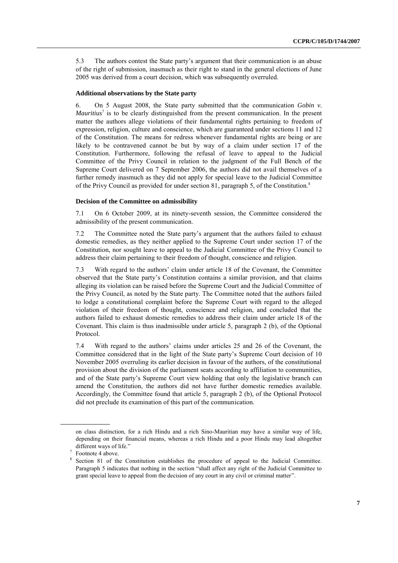5.3 The authors contest the State party's argument that their communication is an abuse of the right of submission, inasmuch as their right to stand in the general elections of June 2005 was derived from a court decision, which was subsequently overruled.

#### **Additional observations by the State party**

6. On 5 August 2008, the State party submitted that the communication *Gobin v. Mauritius*<sup>7</sup> is to be clearly distinguished from the present communication. In the present matter the authors allege violations of their fundamental rights pertaining to freedom of expression, religion, culture and conscience, which are guaranteed under sections 11 and 12 of the Constitution. The means for redress whenever fundamental rights are being or are likely to be contravened cannot be but by way of a claim under section 17 of the Constitution. Furthermore, following the refusal of leave to appeal to the Judicial Committee of the Privy Council in relation to the judgment of the Full Bench of the Supreme Court delivered on 7 September 2006, the authors did not avail themselves of a further remedy inasmuch as they did not apply for special leave to the Judicial Committee of the Privy Council as provided for under section 81, paragraph 5, of the Constitution.<sup>8</sup>

#### **Decision of the Committee on admissibility**

7.1 On 6 October 2009, at its ninety-seventh session, the Committee considered the admissibility of the present communication.

7.2 The Committee noted the State party's argument that the authors failed to exhaust domestic remedies, as they neither applied to the Supreme Court under section 17 of the Constitution, nor sought leave to appeal to the Judicial Committee of the Privy Council to address their claim pertaining to their freedom of thought, conscience and religion.

7.3 With regard to the authors' claim under article 18 of the Covenant, the Committee observed that the State party's Constitution contains a similar provision, and that claims alleging its violation can be raised before the Supreme Court and the Judicial Committee of the Privy Council, as noted by the State party. The Committee noted that the authors failed to lodge a constitutional complaint before the Supreme Court with regard to the alleged violation of their freedom of thought, conscience and religion, and concluded that the authors failed to exhaust domestic remedies to address their claim under article 18 of the Covenant. This claim is thus inadmissible under article 5, paragraph 2 (b), of the Optional Protocol.

7.4 With regard to the authors' claims under articles 25 and 26 of the Covenant, the Committee considered that in the light of the State party's Supreme Court decision of 10 November 2005 overruling its earlier decision in favour of the authors, of the constitutional provision about the division of the parliament seats according to affiliation to communities, and of the State party's Supreme Court view holding that only the legislative branch can amend the Constitution, the authors did not have further domestic remedies available. Accordingly, the Committee found that article 5, paragraph 2 (b), of the Optional Protocol did not preclude its examination of this part of the communication.

on class distinction, for a rich Hindu and a rich Sino-Mauritian may have a similar way of life, depending on their financial means, whereas a rich Hindu and a poor Hindu may lead altogether different ways of life."

<sup>7</sup> Footnot[e 4](#page-5-0) above.

<sup>8</sup> Section 81 of the Constitution establishes the procedure of appeal to the Judicial Committee. Paragraph 5 indicates that nothing in the section "shall affect any right of the Judicial Committee to grant special leave to appeal from the decision of any court in any civil or criminal matter".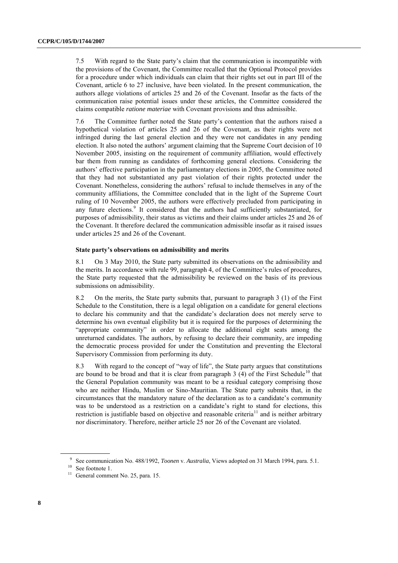7.5 With regard to the State party's claim that the communication is incompatible with the provisions of the Covenant, the Committee recalled that the Optional Protocol provides for a procedure under which individuals can claim that their rights set out in part III of the Covenant, article 6 to 27 inclusive, have been violated. In the present communication, the authors allege violations of articles 25 and 26 of the Covenant. Insofar as the facts of the communication raise potential issues under these articles, the Committee considered the claims compatible *ratione materiae* with Covenant provisions and thus admissible.

7.6 The Committee further noted the State party's contention that the authors raised a hypothetical violation of articles 25 and 26 of the Covenant, as their rights were not infringed during the last general election and they were not candidates in any pending election. It also noted the authors' argument claiming that the Supreme Court decision of 10 November 2005, insisting on the requirement of community affiliation, would effectively bar them from running as candidates of forthcoming general elections. Considering the authors' effective participation in the parliamentary elections in 2005, the Committee noted that they had not substantiated any past violation of their rights protected under the Covenant. Nonetheless, considering the authors' refusal to include themselves in any of the community affiliations, the Committee concluded that in the light of the Supreme Court ruling of 10 November 2005, the authors were effectively precluded from participating in any future elections.<sup>9</sup> It considered that the authors had sufficiently substantiated, for purposes of admissibility, their status as victims and their claims under articles 25 and 26 of the Covenant. It therefore declared the communication admissible insofar as it raised issues under articles 25 and 26 of the Covenant.

#### **State party's observations on admissibility and merits**

8.1 On 3 May 2010, the State party submitted its observations on the admissibility and the merits. In accordance with rule 99, paragraph 4, of the Committee's rules of procedures, the State party requested that the admissibility be reviewed on the basis of its previous submissions on admissibility.

8.2 On the merits, the State party submits that, pursuant to paragraph 3 (1) of the First Schedule to the Constitution, there is a legal obligation on a candidate for general elections to declare his community and that the candidate's declaration does not merely serve to determine his own eventual eligibility but it is required for the purposes of determining the "appropriate community" in order to allocate the additional eight seats among the unreturned candidates. The authors, by refusing to declare their community, are impeding the democratic process provided for under the Constitution and preventing the Electoral Supervisory Commission from performing its duty.

8.3 With regard to the concept of "way of life", the State party argues that constitutions are bound to be broad and that it is clear from paragraph  $3$  (4) of the First Schedule<sup>10</sup> that the General Population community was meant to be a residual category comprising those who are neither Hindu, Muslim or Sino-Mauritian. The State party submits that, in the circumstances that the mandatory nature of the declaration as to a candidate's community was to be understood as a restriction on a candidate's right to stand for elections, this restriction is justifiable based on objective and reasonable criteria<sup>11</sup> and is neither arbitrary nor discriminatory. Therefore, neither article 25 nor 26 of the Covenant are violated.

<sup>9</sup> See communication No. 488/1992, *Toonen* v. *Australia*, Views adopted on 31 March 1994, para. 5.1.

<sup>&</sup>lt;sup>10</sup> See footnote [1.](#page-2-0)

<sup>&</sup>lt;sup>11</sup> General comment No. 25, para. 15.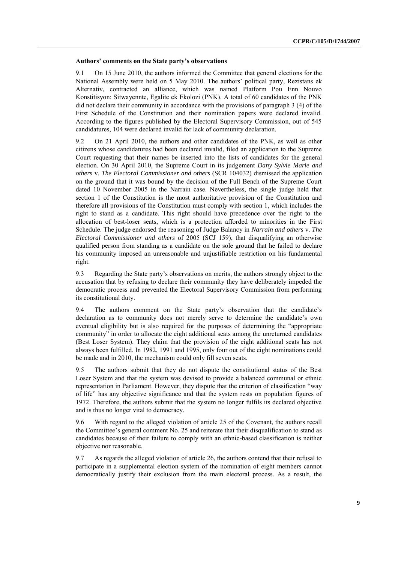#### **Authors' comments on the State party's observations**

9.1 On 15 June 2010, the authors informed the Committee that general elections for the National Assembly were held on 5 May 2010. The authors' political party, Rezistans ek Alternativ, contracted an alliance, which was named Platform Pou Enn Nouvo Konstitisyon: Sitwayennte, Egalite ek Ekolozi (PNK). A total of 60 candidates of the PNK did not declare their community in accordance with the provisions of paragraph 3 (4) of the First Schedule of the Constitution and their nomination papers were declared invalid. According to the figures published by the Electoral Supervisory Commission, out of 545 candidatures, 104 were declared invalid for lack of community declaration.

9.2 On 21 April 2010, the authors and other candidates of the PNK, as well as other citizens whose candidatures had been declared invalid, filed an application to the Supreme Court requesting that their names be inserted into the lists of candidates for the general election. On 30 April 2010, the Supreme Court in its judgement *Dany Sylvie Marie and others* v. *The Electoral Commissioner and others* (SCR 104032) dismissed the application on the ground that it was bound by the decision of the Full Bench of the Supreme Court dated 10 November 2005 in the Narrain case. Nevertheless, the single judge held that section 1 of the Constitution is the most authoritative provision of the Constitution and therefore all provisions of the Constitution must comply with section 1, which includes the right to stand as a candidate. This right should have precedence over the right to the allocation of best-loser seats, which is a protection afforded to minorities in the First Schedule. The judge endorsed the reasoning of Judge Balancy in *Narrain and others* v. *The Electoral Commissioner and others* of 2005 (SCJ 159), that disqualifying an otherwise qualified person from standing as a candidate on the sole ground that he failed to declare his community imposed an unreasonable and unjustifiable restriction on his fundamental right.

9.3 Regarding the State party's observations on merits, the authors strongly object to the accusation that by refusing to declare their community they have deliberately impeded the democratic process and prevented the Electoral Supervisory Commission from performing its constitutional duty.

9.4 The authors comment on the State party's observation that the candidate's declaration as to community does not merely serve to determine the candidate's own eventual eligibility but is also required for the purposes of determining the "appropriate community" in order to allocate the eight additional seats among the unreturned candidates (Best Loser System). They claim that the provision of the eight additional seats has not always been fulfilled. In 1982, 1991 and 1995, only four out of the eight nominations could be made and in 2010, the mechanism could only fill seven seats.

9.5 The authors submit that they do not dispute the constitutional status of the Best Loser System and that the system was devised to provide a balanced communal or ethnic representation in Parliament. However, they dispute that the criterion of classification "way of life" has any objective significance and that the system rests on population figures of 1972. Therefore, the authors submit that the system no longer fulfils its declared objective and is thus no longer vital to democracy.

9.6 With regard to the alleged violation of article 25 of the Covenant, the authors recall the Committee's general comment No. 25 and reiterate that their disqualification to stand as candidates because of their failure to comply with an ethnic-based classification is neither objective nor reasonable.

9.7 As regards the alleged violation of article 26, the authors contend that their refusal to participate in a supplemental election system of the nomination of eight members cannot democratically justify their exclusion from the main electoral process. As a result, the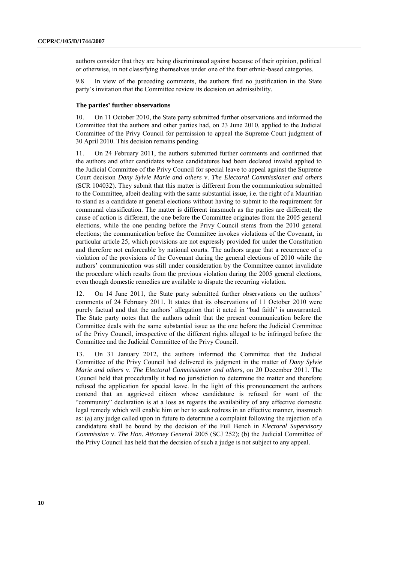authors consider that they are being discriminated against because of their opinion, political or otherwise, in not classifying themselves under one of the four ethnic-based categories.

9.8 In view of the preceding comments, the authors find no justification in the State party's invitation that the Committee review its decision on admissibility.

#### **The parties' further observations**

10. On 11 October 2010, the State party submitted further observations and informed the Committee that the authors and other parties had, on 23 June 2010, applied to the Judicial Committee of the Privy Council for permission to appeal the Supreme Court judgment of 30 April 2010. This decision remains pending.

11. On 24 February 2011, the authors submitted further comments and confirmed that the authors and other candidates whose candidatures had been declared invalid applied to the Judicial Committee of the Privy Council for special leave to appeal against the Supreme Court decision *Dany Sylvie Marie and others* v. *The Electoral Commissioner and others* (SCR 104032). They submit that this matter is different from the communication submitted to the Committee, albeit dealing with the same substantial issue, i.e. the right of a Mauritian to stand as a candidate at general elections without having to submit to the requirement for communal classification. The matter is different inasmuch as the parties are different; the cause of action is different, the one before the Committee originates from the 2005 general elections, while the one pending before the Privy Council stems from the 2010 general elections; the communication before the Committee invokes violations of the Covenant, in particular article 25, which provisions are not expressly provided for under the Constitution and therefore not enforceable by national courts. The authors argue that a recurrence of a violation of the provisions of the Covenant during the general elections of 2010 while the authors' communication was still under consideration by the Committee cannot invalidate the procedure which results from the previous violation during the 2005 general elections, even though domestic remedies are available to dispute the recurring violation.

12. On 14 June 2011, the State party submitted further observations on the authors' comments of 24 February 2011. It states that its observations of 11 October 2010 were purely factual and that the authors' allegation that it acted in "bad faith" is unwarranted. The State party notes that the authors admit that the present communication before the Committee deals with the same substantial issue as the one before the Judicial Committee of the Privy Council, irrespective of the different rights alleged to be infringed before the Committee and the Judicial Committee of the Privy Council.

13. On 31 January 2012, the authors informed the Committee that the Judicial Committee of the Privy Council had delivered its judgment in the matter of *Dany Sylvie Marie and others* v. *The Electoral Commissioner and others*, on 20 December 2011. The Council held that procedurally it had no jurisdiction to determine the matter and therefore refused the application for special leave. In the light of this pronouncement the authors contend that an aggrieved citizen whose candidature is refused for want of the "community" declaration is at a loss as regards the availability of any effective domestic legal remedy which will enable him or her to seek redress in an effective manner, inasmuch as: (a) any judge called upon in future to determine a complaint following the rejection of a candidature shall be bound by the decision of the Full Bench in *Electoral Supervisory Commission* v. *The Hon. Attorney General* 2005 (SCJ 252); (b) the Judicial Committee of the Privy Council has held that the decision of such a judge is not subject to any appeal.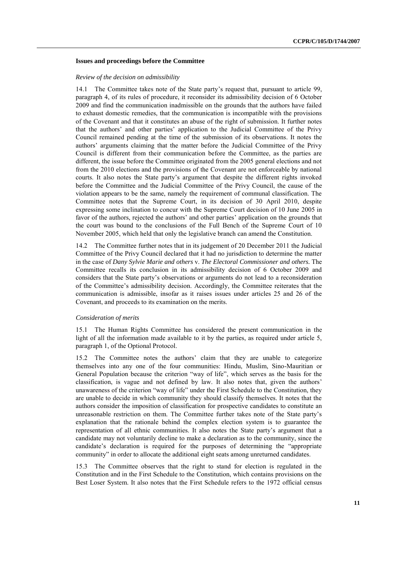#### **Issues and proceedings before the Committee**

#### *Review of the decision on admissibility*

14.1 The Committee takes note of the State party's request that, pursuant to article 99, paragraph 4, of its rules of procedure, it reconsider its admissibility decision of 6 October 2009 and find the communication inadmissible on the grounds that the authors have failed to exhaust domestic remedies, that the communication is incompatible with the provisions of the Covenant and that it constitutes an abuse of the right of submission. It further notes that the authors' and other parties' application to the Judicial Committee of the Privy Council remained pending at the time of the submission of its observations. It notes the authors' arguments claiming that the matter before the Judicial Committee of the Privy Council is different from their communication before the Committee, as the parties are different, the issue before the Committee originated from the 2005 general elections and not from the 2010 elections and the provisions of the Covenant are not enforceable by national courts. It also notes the State party's argument that despite the different rights invoked before the Committee and the Judicial Committee of the Privy Council, the cause of the violation appears to be the same, namely the requirement of communal classification. The Committee notes that the Supreme Court, in its decision of 30 April 2010, despite expressing some inclination to concur with the Supreme Court decision of 10 June 2005 in favor of the authors, rejected the authors' and other parties' application on the grounds that the court was bound to the conclusions of the Full Bench of the Supreme Court of 10 November 2005, which held that only the legislative branch can amend the Constitution.

14.2 The Committee further notes that in its judgement of 20 December 2011 the Judicial Committee of the Privy Council declared that it had no jurisdiction to determine the matter in the case of *Dany Sylvie Marie and others* v. *The Electoral Commissioner and others.* The Committee recalls its conclusion in its admissibility decision of 6 October 2009 and considers that the State party's observations or arguments do not lead to a reconsideration of the Committee's admissibility decision. Accordingly, the Committee reiterates that the communication is admissible, insofar as it raises issues under articles 25 and 26 of the Covenant, and proceeds to its examination on the merits.

#### *Consideration of merits*

15.1 The Human Rights Committee has considered the present communication in the light of all the information made available to it by the parties, as required under article 5, paragraph 1, of the Optional Protocol.

15.2 The Committee notes the authors' claim that they are unable to categorize themselves into any one of the four communities: Hindu, Muslim, Sino-Mauritian or General Population because the criterion "way of life", which serves as the basis for the classification, is vague and not defined by law. It also notes that, given the authors' unawareness of the criterion "way of life" under the First Schedule to the Constitution, they are unable to decide in which community they should classify themselves. It notes that the authors consider the imposition of classification for prospective candidates to constitute an unreasonable restriction on them. The Committee further takes note of the State party's explanation that the rationale behind the complex election system is to guarantee the representation of all ethnic communities. It also notes the State party's argument that a candidate may not voluntarily decline to make a declaration as to the community, since the candidate's declaration is required for the purposes of determining the "appropriate community" in order to allocate the additional eight seats among unreturned candidates.

15.3 The Committee observes that the right to stand for election is regulated in the Constitution and in the First Schedule to the Constitution, which contains provisions on the Best Loser System. It also notes that the First Schedule refers to the 1972 official census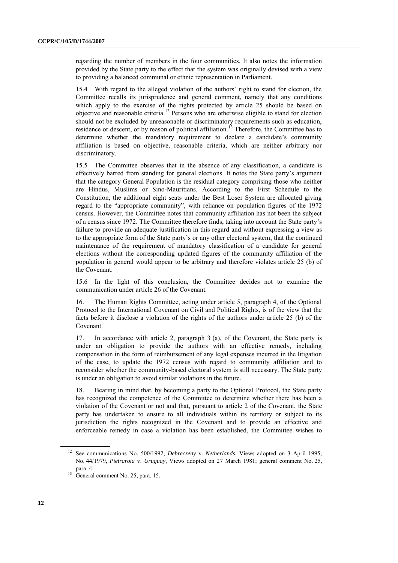regarding the number of members in the four communities. It also notes the information provided by the State party to the effect that the system was originally devised with a view to providing a balanced communal or ethnic representation in Parliament.

15.4 With regard to the alleged violation of the authors' right to stand for election, the Committee recalls its jurisprudence and general comment, namely that any conditions which apply to the exercise of the rights protected by article 25 should be based on objective and reasonable criteria.<sup>12</sup> Persons who are otherwise eligible to stand for election should not be excluded by unreasonable or discriminatory requirements such as education, residence or descent, or by reason of political affiliation.<sup>13</sup> Therefore, the Committee has to determine whether the mandatory requirement to declare a candidate's community affiliation is based on objective, reasonable criteria, which are neither arbitrary nor discriminatory.

15.5 The Committee observes that in the absence of any classification, a candidate is effectively barred from standing for general elections. It notes the State party's argument that the category General Population is the residual category comprising those who neither are Hindus, Muslims or Sino-Mauritians. According to the First Schedule to the Constitution, the additional eight seats under the Best Loser System are allocated giving regard to the "appropriate community", with reliance on population figures of the 1972 census. However, the Committee notes that community affiliation has not been the subject of a census since 1972. The Committee therefore finds, taking into account the State party's failure to provide an adequate justification in this regard and without expressing a view as to the appropriate form of the State party's or any other electoral system, that the continued maintenance of the requirement of mandatory classification of a candidate for general elections without the corresponding updated figures of the community affiliation of the population in general would appear to be arbitrary and therefore violates article 25 (b) of the Covenant.

15.6 In the light of this conclusion, the Committee decides not to examine the communication under article 26 of the Covenant.

16. The Human Rights Committee, acting under article 5, paragraph 4, of the Optional Protocol to the International Covenant on Civil and Political Rights, is of the view that the facts before it disclose a violation of the rights of the authors under article 25 (b) of the Covenant.

17. In accordance with article 2, paragraph 3 (a), of the Covenant, the State party is under an obligation to provide the authors with an effective remedy, including compensation in the form of reimbursement of any legal expenses incurred in the litigation of the case, to update the 1972 census with regard to community affiliation and to reconsider whether the community-based electoral system is still necessary. The State party is under an obligation to avoid similar violations in the future.

18. Bearing in mind that, by becoming a party to the Optional Protocol, the State party has recognized the competence of the Committee to determine whether there has been a violation of the Covenant or not and that, pursuant to article 2 of the Covenant, the State party has undertaken to ensure to all individuals within its territory or subject to its jurisdiction the rights recognized in the Covenant and to provide an effective and enforceable remedy in case a violation has been established, the Committee wishes to

<sup>12</sup> See communications No. 500/1992, *Debreczeny* v. *Netherlands*, Views adopted on 3 April 1995; No. 44/1979, *Pietraroia* v. *Uruguay*, Views adopted on 27 March 1981; general comment No. 25, para. 4.

<sup>&</sup>lt;sup>13</sup> General comment No. 25, para. 15.